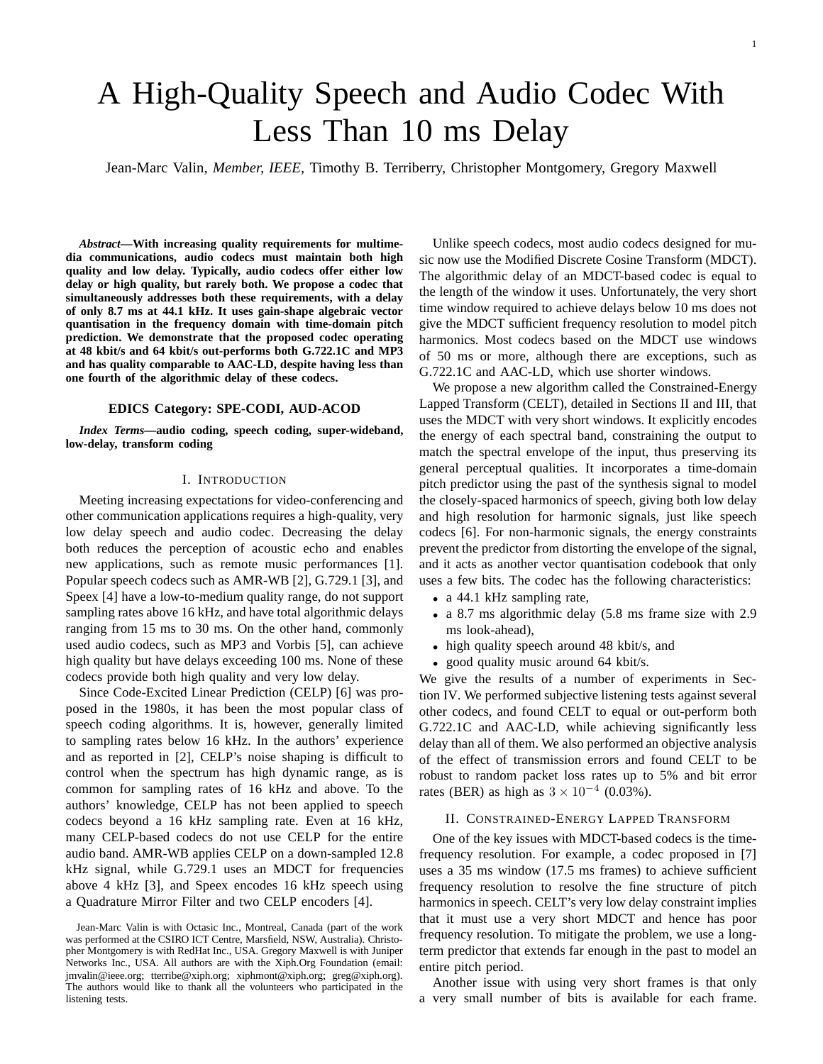# A High-Quality Speech and Audio Codec With Less Than 10 ms Delay

Jean-Marc Valin, *Member, IEEE*, Timothy B. Terriberry, Christopher Montgomery, Gregory Maxwell

*Abstract***—With increasing quality requirements for multimedia communications, audio codecs must maintain both high quality and low delay. Typically, audio codecs offer either low delay or high quality, but rarely both. We propose a codec that simultaneously addresses both these requirements, with a delay of only 8.7 ms at 44.1 kHz. It uses gain-shape algebraic vector quantisation in the frequency domain with time-domain pitch prediction. We demonstrate that the proposed codec operating at 48 kbit/s and 64 kbit/s out-performs both G.722.1C and MP3 and has quality comparable to AAC-LD, despite having less than one fourth of the algorithmic delay of these codecs.**

## **EDICS Category: SPE-CODI, AUD-ACOD**

*Index Terms***—audio coding, speech coding, super-wideband, low-delay, transform coding**

# I. INTRODUCTION

Meeting increasing expectations for video-conferencing and other communication applications requires a high-quality, very low delay speech and audio codec. Decreasing the delay both reduces the perception of acoustic echo and enables new applications, such as remote music performances [1]. Popular speech codecs such as AMR-WB [2], G.729.1 [3], and Speex [4] have a low-to-medium quality range, do not support sampling rates above 16 kHz, and have total algorithmic delays ranging from 15 ms to 30 ms. On the other hand, commonly used audio codecs, such as MP3 and Vorbis [5], can achieve high quality but have delays exceeding 100 ms. None of these codecs provide both high quality and very low delay.

Since Code-Excited Linear Prediction (CELP) [6] was proposed in the 1980s, it has been the most popular class of speech coding algorithms. It is, however, generally limited to sampling rates below 16 kHz. In the authors' experience and as reported in [2], CELP's noise shaping is difficult to control when the spectrum has high dynamic range, as is common for sampling rates of 16 kHz and above. To the authors' knowledge, CELP has not been applied to speech codecs beyond a 16 kHz sampling rate. Even at 16 kHz, many CELP-based codecs do not use CELP for the entire audio band. AMR-WB applies CELP on a down-sampled 12.8 kHz signal, while G.729.1 uses an MDCT for frequencies above 4 kHz [3], and Speex encodes 16 kHz speech using a Quadrature Mirror Filter and two CELP encoders [4].

Unlike speech codecs, most audio codecs designed for music now use the Modified Discrete Cosine Transform (MDCT). The algorithmic delay of an MDCT-based codec is equal to the length of the window it uses. Unfortunately, the very short time window required to achieve delays below 10 ms does not give the MDCT sufficient frequency resolution to model pitch harmonics. Most codecs based on the MDCT use windows of 50 ms or more, although there are exceptions, such as G.722.1C and AAC-LD, which use shorter windows.

We propose a new algorithm called the Constrained-Energy Lapped Transform (CELT), detailed in Sections II and III, that uses the MDCT with very short windows. It explicitly encodes the energy of each spectral band, constraining the output to match the spectral envelope of the input, thus preserving its general perceptual qualities. It incorporates a time-domain pitch predictor using the past of the synthesis signal to model the closely-spaced harmonics of speech, giving both low delay and high resolution for harmonic signals, just like speech codecs [6]. For non-harmonic signals, the energy constraints prevent the predictor from distorting the envelope of the signal, and it acts as another vector quantisation codebook that only uses a few bits. The codec has the following characteristics:

- a 44.1 kHz sampling rate,
- a 8.7 ms algorithmic delay (5.8 ms frame size with 2.9 ms look-ahead),
- high quality speech around 48 kbit/s, and
- good quality music around 64 kbit/s.

We give the results of a number of experiments in Section IV. We performed subjective listening tests against several other codecs, and found CELT to equal or out-perform both G.722.1C and AAC-LD, while achieving significantly less delay than all of them. We also performed an objective analysis of the effect of transmission errors and found CELT to be robust to random packet loss rates up to 5% and bit error rates (BER) as high as  $3 \times 10^{-4}$  (0.03%).

## II. CONSTRAINED-ENERGY LAPPED TRANSFORM

One of the key issues with MDCT-based codecs is the timefrequency resolution. For example, a codec proposed in [7] uses a 35 ms window (17.5 ms frames) to achieve sufficient frequency resolution to resolve the fine structure of pitch harmonics in speech. CELT's very low delay constraint implies that it must use a very short MDCT and hence has poor frequency resolution. To mitigate the problem, we use a longterm predictor that extends far enough in the past to model an entire pitch period.

Another issue with using very short frames is that only a very small number of bits is available for each frame.

Jean-Marc Valin is with Octasic Inc., Montreal, Canada (part of the work was performed at the CSIRO ICT Centre, Marsfield, NSW, Australia). Christopher Montgomery is with RedHat Inc., USA. Gregory Maxwell is with Juniper Networks Inc., USA. All authors are with the Xiph.Org Foundation (email: jmvalin@ieee.org; tterribe@xiph.org; xiphmont@xiph.org; greg@xiph.org). The authors would like to thank all the volunteers who participated in the listening tests.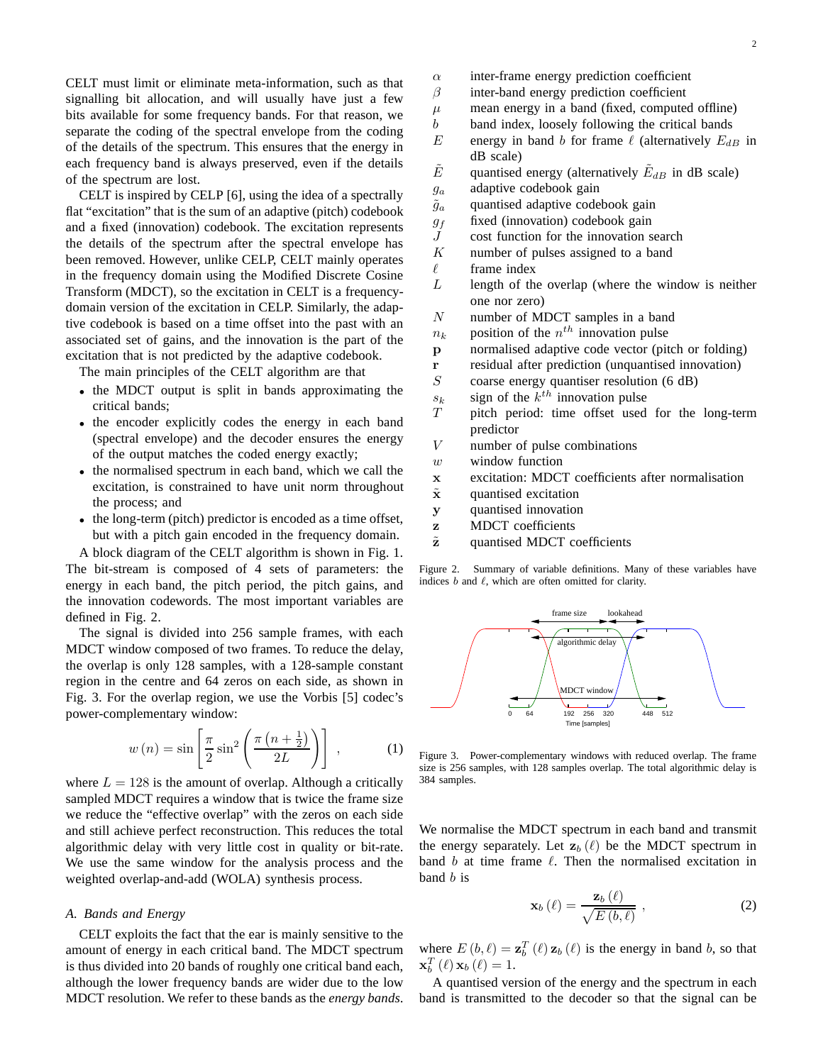CELT must limit or eliminate meta-information, such as that signalling bit allocation, and will usually have just a few bits available for some frequency bands. For that reason, we separate the coding of the spectral envelope from the coding of the details of the spectrum. This ensures that the energy in each frequency band is always preserved, even if the details of the spectrum are lost.

CELT is inspired by CELP [6], using the idea of a spectrally flat "excitation" that is the sum of an adaptive (pitch) codebook and a fixed (innovation) codebook. The excitation represents the details of the spectrum after the spectral envelope has been removed. However, unlike CELP, CELT mainly operates in the frequency domain using the Modified Discrete Cosine Transform (MDCT), so the excitation in CELT is a frequencydomain version of the excitation in CELP. Similarly, the adaptive codebook is based on a time offset into the past with an associated set of gains, and the innovation is the part of the excitation that is not predicted by the adaptive codebook.

The main principles of the CELT algorithm are that

- the MDCT output is split in bands approximating the critical bands;
- the encoder explicitly codes the energy in each band (spectral envelope) and the decoder ensures the energy of the output matches the coded energy exactly;
- the normalised spectrum in each band, which we call the excitation, is constrained to have unit norm throughout the process; and
- the long-term (pitch) predictor is encoded as a time offset, but with a pitch gain encoded in the frequency domain.

A block diagram of the CELT algorithm is shown in Fig. 1. The bit-stream is composed of 4 sets of parameters: the energy in each band, the pitch period, the pitch gains, and the innovation codewords. The most important variables are defined in Fig. 2.

The signal is divided into 256 sample frames, with each MDCT window composed of two frames. To reduce the delay, the overlap is only 128 samples, with a 128-sample constant region in the centre and 64 zeros on each side, as shown in Fig. 3. For the overlap region, we use the Vorbis [5] codec's power-complementary window:

$$
w(n) = \sin\left[\frac{\pi}{2}\sin^2\left(\frac{\pi\left(n + \frac{1}{2}\right)}{2L}\right)\right],\tag{1}
$$

where  $L = 128$  is the amount of overlap. Although a critically sampled MDCT requires a window that is twice the frame size we reduce the "effective overlap" with the zeros on each side and still achieve perfect reconstruction. This reduces the total algorithmic delay with very little cost in quality or bit-rate. We use the same window for the analysis process and the weighted overlap-and-add (WOLA) synthesis process.

# *A. Bands and Energy*

CELT exploits the fact that the ear is mainly sensitive to the amount of energy in each critical band. The MDCT spectrum is thus divided into 20 bands of roughly one critical band each, although the lower frequency bands are wider due to the low MDCT resolution. We refer to these bands as the *energy bands*.

- $\alpha$  inter-frame energy prediction coefficient
- $\beta$  inter-band energy prediction coefficient
- $\mu$  mean energy in a band (fixed, computed offline)
- $b$  band index, loosely following the critical bands
- E energy in band b for frame  $\ell$  (alternatively  $E_{dB}$  in dB scale)
- $\tilde{E}$  quantised energy (alternatively  $\tilde{E}_{dB}$  in dB scale)
- $g_a$  adaptive codebook gain
- $\tilde{g}_a$  quantised adaptive codebook gain
- $g_f$  fixed (innovation) codebook gain
- J cost function for the innovation search
- $K$  number of pulses assigned to a band
- $\ell$  frame index
- $L$  length of the overlap (where the window is neither one nor zero)
- N number of MDCT samples in a band
- $n_k$  position of the  $n^{th}$  innovation pulse
- p normalised adaptive code vector (pitch or folding)
- r residual after prediction (unquantised innovation)
- $S$  coarse energy quantiser resolution (6 dB)
- $s_k$  sign of the  $k^{th}$  innovation pulse
- T pitch period: time offset used for the long-term predictor
- V number of pulse combinations
- $w$  window function
- x excitation: MDCT coefficients after normalisation
- $\tilde{x}$  quantised excitation
- y quantised innovation
- z MDCT coefficients
- $\tilde{z}$  quantised MDCT coefficients

Figure 2. Summary of variable definitions. Many of these variables have indices  $b$  and  $\ell$ , which are often omitted for clarity.



Figure 3. Power-complementary windows with reduced overlap. The frame size is 256 samples, with 128 samples overlap. The total algorithmic delay is 384 samples.

We normalise the MDCT spectrum in each band and transmit the energy separately. Let  $\mathbf{z}_b$  ( $\ell$ ) be the MDCT spectrum in band b at time frame  $\ell$ . Then the normalised excitation in band b is

$$
\mathbf{x}_{b}(\ell) = \frac{\mathbf{z}_{b}(\ell)}{\sqrt{E(b,\ell)}},\qquad(2)
$$

where  $E(b, \ell) = \mathbf{z}_{b}^{T}(\ell) \mathbf{z}_{b}(\ell)$  is the energy in band b, so that  $\mathbf{x}_{b}^{T}(\ell)\mathbf{x}_{b}(\ell)=1.$ 

A quantised version of the energy and the spectrum in each band is transmitted to the decoder so that the signal can be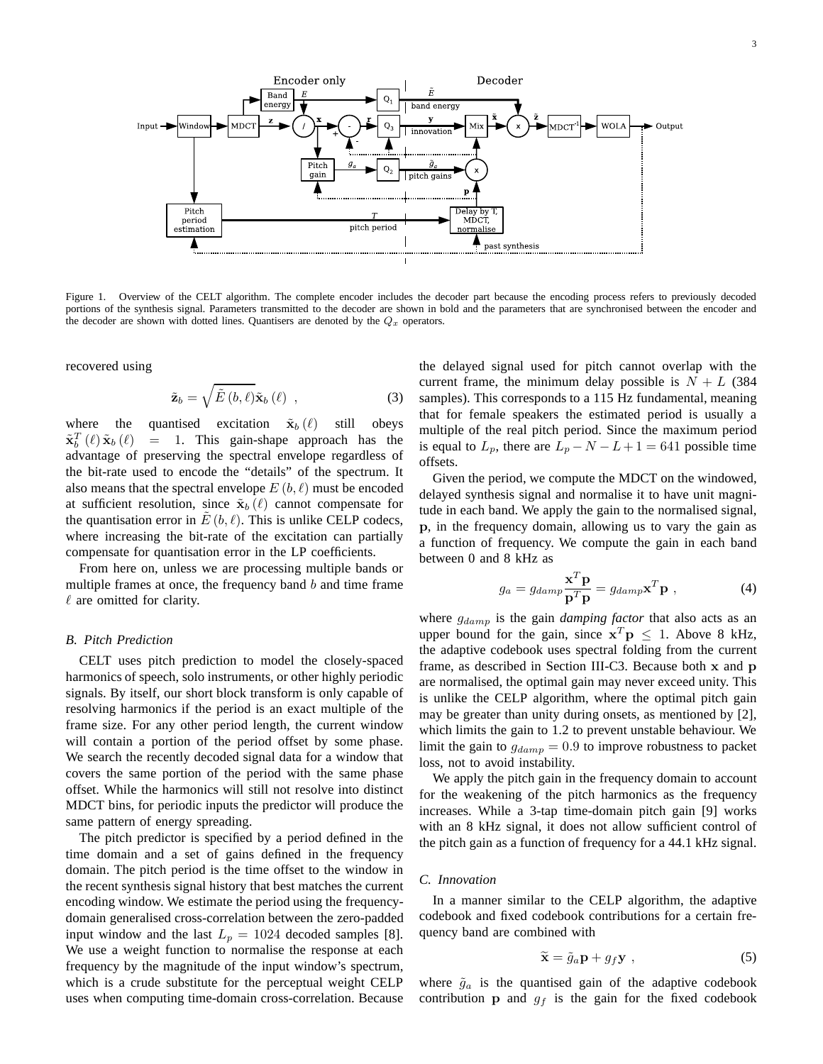

Figure 1. Overview of the CELT algorithm. The complete encoder includes the decoder part because the encoding process refers to previously decoded portions of the synthesis signal. Parameters transmitted to the decoder are shown in bold and the parameters that are synchronised between the encoder and the decoder are shown with dotted lines. Quantisers are denoted by the  $Q_x$  operators.

recovered using

$$
\tilde{\mathbf{z}}_{b} = \sqrt{\tilde{E}\left(b,\ell\right)}\tilde{\mathbf{x}}_{b}\left(\ell\right) , \qquad (3)
$$

where the quantised excitation  $\tilde{\mathbf{x}}_b(\ell)$  still obeys  $\tilde{\mathbf{x}}_b^T$  $=$  1. This gain-shape approach has the advantage of preserving the spectral envelope regardless of the bit-rate used to encode the "details" of the spectrum. It also means that the spectral envelope  $E(b, \ell)$  must be encoded at sufficient resolution, since  $\tilde{\mathbf{x}}_b$  ( $\ell$ ) cannot compensate for the quantisation error in  $E(b, \ell)$ . This is unlike CELP codecs, where increasing the bit-rate of the excitation can partially compensate for quantisation error in the LP coefficients.

From here on, unless we are processing multiple bands or multiple frames at once, the frequency band  $b$  and time frame  $\ell$  are omitted for clarity.

# *B. Pitch Prediction*

CELT uses pitch prediction to model the closely-spaced harmonics of speech, solo instruments, or other highly periodic signals. By itself, our short block transform is only capable of resolving harmonics if the period is an exact multiple of the frame size. For any other period length, the current window will contain a portion of the period offset by some phase. We search the recently decoded signal data for a window that covers the same portion of the period with the same phase offset. While the harmonics will still not resolve into distinct MDCT bins, for periodic inputs the predictor will produce the same pattern of energy spreading.

The pitch predictor is specified by a period defined in the time domain and a set of gains defined in the frequency domain. The pitch period is the time offset to the window in the recent synthesis signal history that best matches the current encoding window. We estimate the period using the frequencydomain generalised cross-correlation between the zero-padded input window and the last  $L_p = 1024$  decoded samples [8]. We use a weight function to normalise the response at each frequency by the magnitude of the input window's spectrum, which is a crude substitute for the perceptual weight CELP uses when computing time-domain cross-correlation. Because

the delayed signal used for pitch cannot overlap with the current frame, the minimum delay possible is  $N + L$  (384) samples). This corresponds to a 115 Hz fundamental, meaning that for female speakers the estimated period is usually a multiple of the real pitch period. Since the maximum period is equal to  $L_p$ , there are  $L_p - N - L + 1 = 641$  possible time offsets.

Given the period, we compute the MDCT on the windowed, delayed synthesis signal and normalise it to have unit magnitude in each band. We apply the gain to the normalised signal, p, in the frequency domain, allowing us to vary the gain as a function of frequency. We compute the gain in each band between 0 and 8 kHz as

$$
g_a = g_{damp} \frac{\mathbf{x}^T \mathbf{p}}{\mathbf{p}^T \mathbf{p}} = g_{damp} \mathbf{x}^T \mathbf{p} \tag{4}
$$

where  $g_{damp}$  is the gain *damping factor* that also acts as an upper bound for the gain, since  $x^T p \le 1$ . Above 8 kHz, the adaptive codebook uses spectral folding from the current frame, as described in Section III-C3. Because both x and p are normalised, the optimal gain may never exceed unity. This is unlike the CELP algorithm, where the optimal pitch gain may be greater than unity during onsets, as mentioned by [2], which limits the gain to 1.2 to prevent unstable behaviour. We limit the gain to  $g_{damp} = 0.9$  to improve robustness to packet loss, not to avoid instability.

We apply the pitch gain in the frequency domain to account for the weakening of the pitch harmonics as the frequency increases. While a 3-tap time-domain pitch gain [9] works with an 8 kHz signal, it does not allow sufficient control of the pitch gain as a function of frequency for a 44.1 kHz signal.

## *C. Innovation*

In a manner similar to the CELP algorithm, the adaptive codebook and fixed codebook contributions for a certain frequency band are combined with

$$
\widetilde{\mathbf{x}} = \widetilde{g}_a \mathbf{p} + g_f \mathbf{y} \tag{5}
$$

where  $\tilde{g}_a$  is the quantised gain of the adaptive codebook contribution **p** and  $q_f$  is the gain for the fixed codebook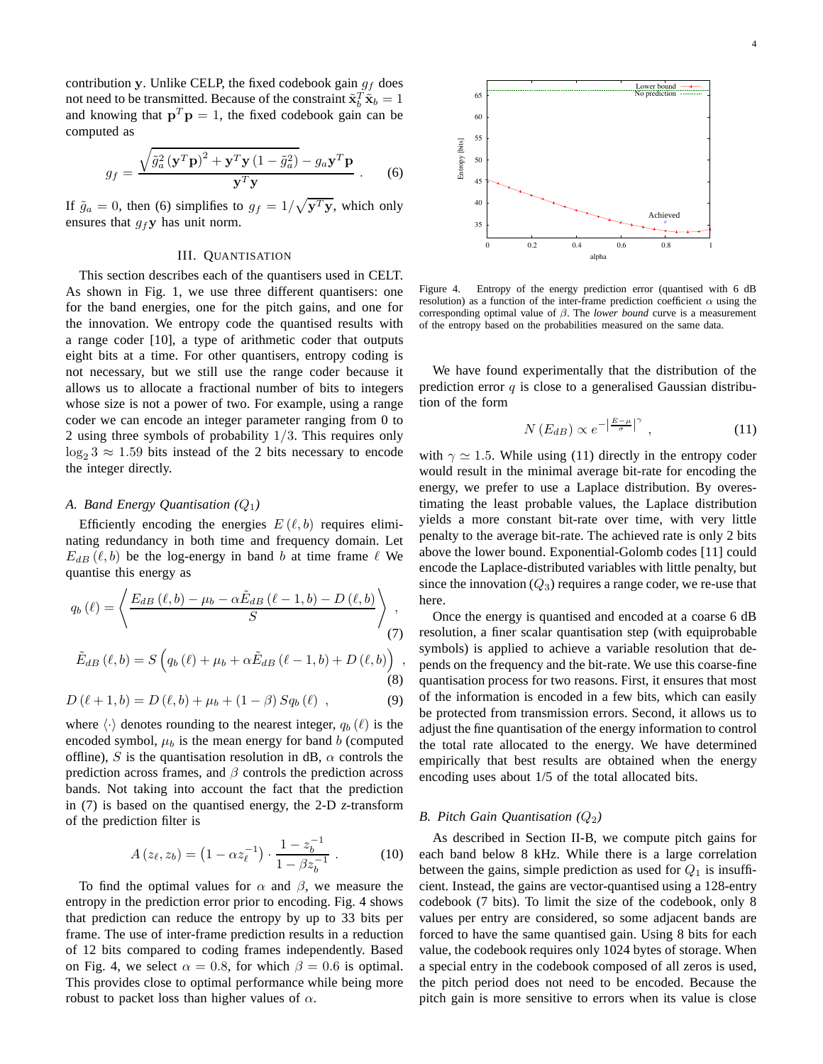contribution y. Unlike CELP, the fixed codebook gain  $g_f$  does not need to be transmitted. Because of the constraint  $\tilde{\mathbf{x}}_b^T \tilde{\mathbf{x}}_b = 1$ and knowing that  $\mathbf{p}^T \mathbf{p} = 1$ , the fixed codebook gain can be computed as

$$
g_f = \frac{\sqrt{\tilde{g}_a^2 (\mathbf{y}^T \mathbf{p})^2 + \mathbf{y}^T \mathbf{y} (1 - \tilde{g}_a^2)} - g_a \mathbf{y}^T \mathbf{p}}{\mathbf{y}^T \mathbf{y}} \ . \tag{6}
$$

If  $\tilde{g}_a = 0$ , then (6) simplifies to  $g_f = 1/\sqrt{\mathbf{y}^T\mathbf{y}}$ , which only ensures that  $g_f$ **y** has unit norm.

## III. QUANTISATION

This section describes each of the quantisers used in CELT. As shown in Fig. 1, we use three different quantisers: one for the band energies, one for the pitch gains, and one for the innovation. We entropy code the quantised results with a range coder [10], a type of arithmetic coder that outputs eight bits at a time. For other quantisers, entropy coding is not necessary, but we still use the range coder because it allows us to allocate a fractional number of bits to integers whose size is not a power of two. For example, using a range coder we can encode an integer parameter ranging from 0 to 2 using three symbols of probability  $1/3$ . This requires only  $\log_2 3 \approx 1.59$  bits instead of the 2 bits necessary to encode the integer directly.

# *A. Band Energy Quantisation (*Q1*)*

Efficiently encoding the energies  $E(\ell, b)$  requires eliminating redundancy in both time and frequency domain. Let  $E_{dB}$  ( $\ell$ , b) be the log-energy in band b at time frame  $\ell$  We quantise this energy as

$$
q_b(\ell) = \left\langle \frac{E_{dB}(\ell, b) - \mu_b - \alpha \tilde{E}_{dB}(\ell - 1, b) - D(\ell, b)}{S} \right\rangle_{(7)},
$$

$$
\tilde{E}_{dB}(\ell, b) = S\left(q_b(\ell) + \mu_b + \alpha \tilde{E}_{dB}(\ell - 1, b) + D(\ell, b)\right),\tag{8}
$$

$$
D(\ell + 1, b) = D(\ell, b) + \mu_b + (1 - \beta) S q_b(\ell) , \qquad (9)
$$

where  $\langle \cdot \rangle$  denotes rounding to the nearest integer,  $q_b (\ell)$  is the encoded symbol,  $\mu_b$  is the mean energy for band b (computed offline), S is the quantisation resolution in dB,  $\alpha$  controls the prediction across frames, and  $\beta$  controls the prediction across bands. Not taking into account the fact that the prediction in (7) is based on the quantised energy, the 2-D *z*-transform of the prediction filter is

$$
A(z_{\ell}, z_b) = (1 - \alpha z_{\ell}^{-1}) \cdot \frac{1 - z_b^{-1}}{1 - \beta z_b^{-1}}.
$$
 (10)

To find the optimal values for  $\alpha$  and  $\beta$ , we measure the entropy in the prediction error prior to encoding. Fig. 4 shows that prediction can reduce the entropy by up to 33 bits per frame. The use of inter-frame prediction results in a reduction of 12 bits compared to coding frames independently. Based on Fig. 4, we select  $\alpha = 0.8$ , for which  $\beta = 0.6$  is optimal. This provides close to optimal performance while being more robust to packet loss than higher values of  $\alpha$ .



Figure 4. Entropy of the energy prediction error (quantised with 6 dB resolution) as a function of the inter-frame prediction coefficient  $\alpha$  using the corresponding optimal value of β. The *lower bound* curve is a measurement of the entropy based on the probabilities measured on the same data.

We have found experimentally that the distribution of the prediction error  $q$  is close to a generalised Gaussian distribution of the form

$$
N(E_{dB}) \propto e^{-\left|\frac{E-\mu}{\sigma}\right|^{\gamma}}, \qquad (11)
$$

with  $\gamma \simeq 1.5$ . While using (11) directly in the entropy coder would result in the minimal average bit-rate for encoding the energy, we prefer to use a Laplace distribution. By overestimating the least probable values, the Laplace distribution yields a more constant bit-rate over time, with very little penalty to the average bit-rate. The achieved rate is only 2 bits above the lower bound. Exponential-Golomb codes [11] could encode the Laplace-distributed variables with little penalty, but since the innovation  $(Q_3)$  requires a range coder, we re-use that here.

Once the energy is quantised and encoded at a coarse 6 dB resolution, a finer scalar quantisation step (with equiprobable symbols) is applied to achieve a variable resolution that depends on the frequency and the bit-rate. We use this coarse-fine quantisation process for two reasons. First, it ensures that most of the information is encoded in a few bits, which can easily be protected from transmission errors. Second, it allows us to adjust the fine quantisation of the energy information to control the total rate allocated to the energy. We have determined empirically that best results are obtained when the energy encoding uses about 1/5 of the total allocated bits.

## *B. Pitch Gain Quantisation* ( $Q_2$ )

As described in Section II-B, we compute pitch gains for each band below 8 kHz. While there is a large correlation between the gains, simple prediction as used for  $Q_1$  is insufficient. Instead, the gains are vector-quantised using a 128-entry codebook (7 bits). To limit the size of the codebook, only 8 values per entry are considered, so some adjacent bands are forced to have the same quantised gain. Using 8 bits for each value, the codebook requires only 1024 bytes of storage. When a special entry in the codebook composed of all zeros is used, the pitch period does not need to be encoded. Because the pitch gain is more sensitive to errors when its value is close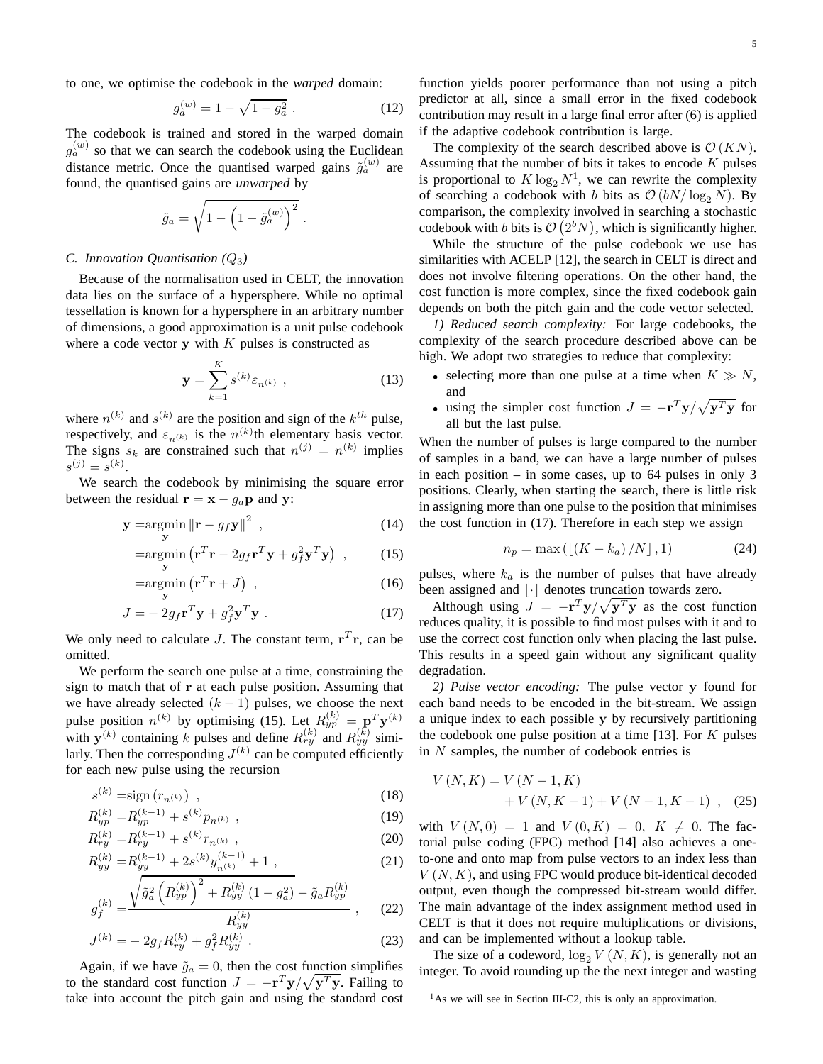to one, we optimise the codebook in the *warped* domain:

$$
g_a^{(w)} = 1 - \sqrt{1 - g_a^2} \tag{12}
$$

.

The codebook is trained and stored in the warped domain  $g_a^{(w)}$  so that we can search the codebook using the Euclidean distance metric. Once the quantised warped gains  $\tilde{g}_a^{(w)}$  are found, the quantised gains are *unwarped* by

$$
\tilde{g}_a = \sqrt{1 - \left(1 - \tilde{g}_a^{(w)}\right)^2}
$$

# *C. Innovation Quantisation (*Q3*)*

Because of the normalisation used in CELT, the innovation data lies on the surface of a hypersphere. While no optimal tessellation is known for a hypersphere in an arbitrary number of dimensions, a good approximation is a unit pulse codebook where a code vector  $y$  with  $K$  pulses is constructed as

$$
y = \sum_{k=1}^{K} s^{(k)} \varepsilon_{n^{(k)}},
$$
 (13)

where  $n^{(k)}$  and  $s^{(k)}$  are the position and sign of the  $k^{th}$  pulse, respectively, and  $\varepsilon_{n(k)}$  is the  $n^{(k)}$ th elementary basis vector. The signs  $s_k$  are constrained such that  $n^{(j)} = n^{(k)}$  implies  $s^{(j)} = s^{(k)}$ .

We search the codebook by minimising the square error between the residual  $\mathbf{r} = \mathbf{x} - g_a \mathbf{p}$  and y:

$$
\mathbf{y} = \underset{\mathbf{y}}{\operatorname{argmin}} \left\| \mathbf{r} - g_f \mathbf{y} \right\|^2 \tag{14}
$$

$$
= \operatorname*{argmin}_{\mathbf{y}} \left( \mathbf{r}^T \mathbf{r} - 2g_f \mathbf{r}^T \mathbf{y} + g_f^2 \mathbf{y}^T \mathbf{y} \right) , \qquad (15)
$$

$$
= \operatorname*{argmin}_{\mathbf{y}} \left( \mathbf{r}^T \mathbf{r} + J \right) , \qquad (16)
$$

$$
J = -2g_f \mathbf{r}^T \mathbf{y} + g_f^2 \mathbf{y}^T \mathbf{y} \tag{17}
$$

We only need to calculate J. The constant term,  $\mathbf{r}^T \mathbf{r}$ , can be omitted.

We perform the search one pulse at a time, constraining the sign to match that of r at each pulse position. Assuming that we have already selected  $(k - 1)$  pulses, we choose the next pulse position  $n^{(k)}$  by optimising (15). Let  $R_{yp}^{(k)} = \mathbf{p}^T \mathbf{y}^{(k)}$ with  $y^{(k)}$  containing k pulses and define  $R_{ry}^{(k)}$  and  $R_{yy}^{(k)}$  similarly. Then the corresponding  $J^{(k)}$  can be computed efficiently for each new pulse using the recursion

$$
s^{(k)} = \text{sign}(r_{n^{(k)}}),\tag{18}
$$

$$
R_{yp}^{(k)} = R_{yp}^{(k-1)} + s^{(k)} p_{n^{(k)}}, \qquad (19)
$$

$$
R_{ry}^{(k)} = R_{ry}^{(k-1)} + s^{(k)} r_{n^{(k)}},
$$
  
\n
$$
R_{r}^{(k)} = R_{r}^{(k-1)} + 2 s^{(k)} u^{(k-1)} + 1
$$
\n(20)

$$
R_{yy}^{(k)} = R_{yy}^{(k-1)} + 2s^{(k)}y_{n^{(k)}}^{(k-1)} + 1,
$$
\n
$$
\sqrt{\tilde{g}_a^2 \left(R_{yy}^{(k)}\right)^2 + R_{yy}^{(k)} \left(1 - g_a^2\right)} - \tilde{g}_a R_{yy}^{(k)}\tag{21}
$$

$$
g_f^{(k)} = \frac{\sqrt{\tilde{g}_a^2 \left(R_{yp}^{(k)}\right) + R_{yy}^{(k)} \left(1 - g_a^2\right) - \tilde{g}_a R_{yp}^{(k)}}{R_{yy}^{(k)}} \,, \tag{22}
$$

$$
J^{(k)} = -2g_f R_{ry}^{(k)} + g_f^2 R_{yy}^{(k)}.
$$
 (23)

Again, if we have  $\tilde{g}_a = 0$ , then the cost function simplifies to the standard cost function  $J = -\mathbf{r}^T \mathbf{y} / \sqrt{\mathbf{y}^T \mathbf{y}}$ . Failing to take into account the pitch gain and using the standard cost function yields poorer performance than not using a pitch predictor at all, since a small error in the fixed codebook contribution may result in a large final error after (6) is applied if the adaptive codebook contribution is large.

The complexity of the search described above is  $\mathcal{O}(KN)$ . Assuming that the number of bits it takes to encode  $K$  pulses is proportional to  $K \log_2 N^1$ , we can rewrite the complexity of searching a codebook with b bits as  $\mathcal{O}(bN/\log_2 N)$ . By comparison, the complexity involved in searching a stochastic codebook with b bits is  $\mathcal{O}(2^bN)$ , which is significantly higher.

While the structure of the pulse codebook we use has similarities with ACELP [12], the search in CELT is direct and does not involve filtering operations. On the other hand, the cost function is more complex, since the fixed codebook gain depends on both the pitch gain and the code vector selected.

*1) Reduced search complexity:* For large codebooks, the complexity of the search procedure described above can be high. We adopt two strategies to reduce that complexity:

- selecting more than one pulse at a time when  $K \gg N$ , and
- using the simpler cost function  $J = -\mathbf{r}^T \mathbf{y} / \sqrt{\mathbf{y}^T \mathbf{y}}$  for all but the last pulse.

When the number of pulses is large compared to the number of samples in a band, we can have a large number of pulses in each position – in some cases, up to 64 pulses in only 3 positions. Clearly, when starting the search, there is little risk in assigning more than one pulse to the position that minimises the cost function in (17). Therefore in each step we assign

$$
n_p = \max\left(\left[\left(K - k_a\right)/N\right], 1\right) \tag{24}
$$

pulses, where  $k_a$  is the number of pulses that have already been assigned and  $\lfloor \cdot \rfloor$  denotes truncation towards zero.

Although using  $\overrightarrow{J} = -\mathbf{r}^T \mathbf{y} / \sqrt{\mathbf{y}^T \mathbf{y}}$  as the cost function reduces quality, it is possible to find most pulses with it and to use the correct cost function only when placing the last pulse. This results in a speed gain without any significant quality degradation.

*2) Pulse vector encoding:* The pulse vector y found for each band needs to be encoded in the bit-stream. We assign a unique index to each possible y by recursively partitioning the codebook one pulse position at a time  $[13]$ . For K pulses in  $N$  samples, the number of codebook entries is

$$
V(N,K) = V(N-1,K) + V(N,K-1) + V(N-1,K-1) ,
$$
 (25)

with  $V(N, 0) = 1$  and  $V(0, K) = 0$ ,  $K \neq 0$ . The factorial pulse coding (FPC) method [14] also achieves a oneto-one and onto map from pulse vectors to an index less than  $V(N, K)$ , and using FPC would produce bit-identical decoded output, even though the compressed bit-stream would differ. The main advantage of the index assignment method used in CELT is that it does not require multiplications or divisions, and can be implemented without a lookup table.

The size of a codeword,  $\log_2 V(N, K)$ , is generally not an integer. To avoid rounding up the the next integer and wasting

 $<sup>1</sup>$ As we will see in Section III-C2, this is only an approximation.</sup>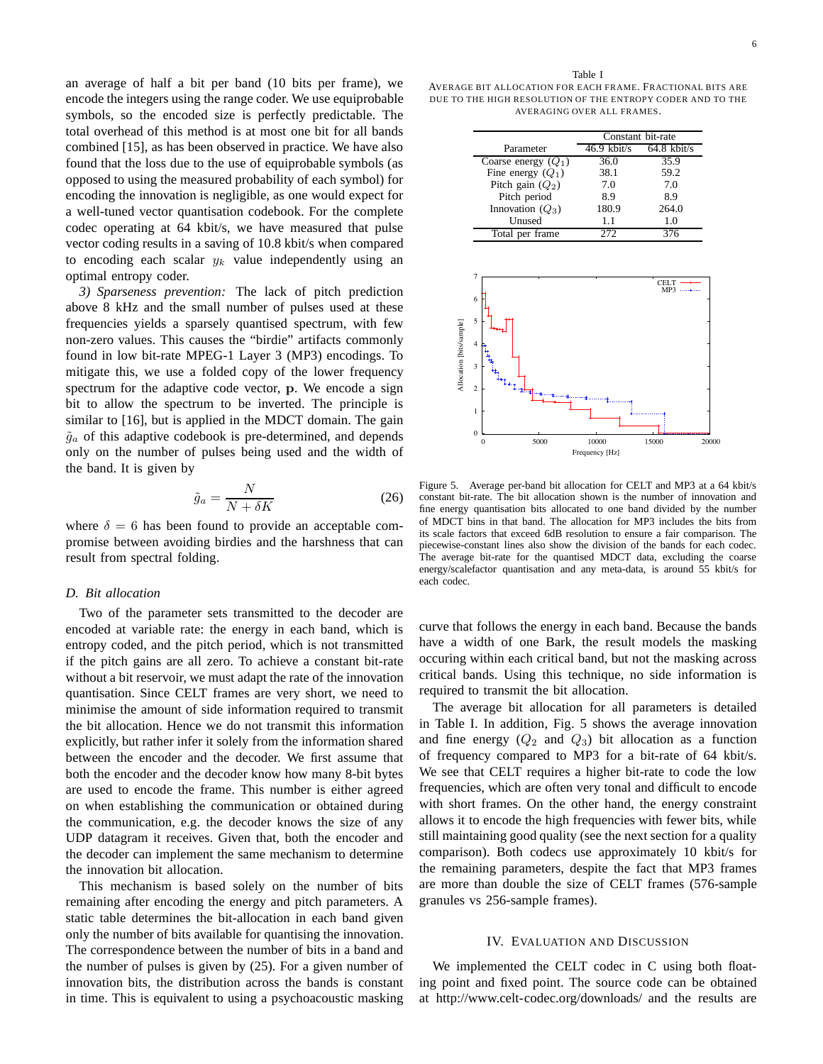an average of half a bit per band (10 bits per frame), we encode the integers using the range coder. We use equiprobable symbols, so the encoded size is perfectly predictable. The total overhead of this method is at most one bit for all bands combined [15], as has been observed in practice. We have also found that the loss due to the use of equiprobable symbols (as opposed to using the measured probability of each symbol) for encoding the innovation is negligible, as one would expect for a well-tuned vector quantisation codebook. For the complete codec operating at 64 kbit/s, we have measured that pulse vector coding results in a saving of 10.8 kbit/s when compared to encoding each scalar  $y_k$  value independently using an optimal entropy coder.

*3) Sparseness prevention:* The lack of pitch prediction above 8 kHz and the small number of pulses used at these frequencies yields a sparsely quantised spectrum, with few non-zero values. This causes the "birdie" artifacts commonly found in low bit-rate MPEG-1 Layer 3 (MP3) encodings. To mitigate this, we use a folded copy of the lower frequency spectrum for the adaptive code vector, p. We encode a sign bit to allow the spectrum to be inverted. The principle is similar to [16], but is applied in the MDCT domain. The gain  $\tilde{g}_a$  of this adaptive codebook is pre-determined, and depends only on the number of pulses being used and the width of the band. It is given by

$$
\tilde{g}_a = \frac{N}{N + \delta K} \tag{26}
$$

where  $\delta = 6$  has been found to provide an acceptable compromise between avoiding birdies and the harshness that can result from spectral folding.

## *D. Bit allocation*

Two of the parameter sets transmitted to the decoder are encoded at variable rate: the energy in each band, which is entropy coded, and the pitch period, which is not transmitted if the pitch gains are all zero. To achieve a constant bit-rate without a bit reservoir, we must adapt the rate of the innovation quantisation. Since CELT frames are very short, we need to minimise the amount of side information required to transmit the bit allocation. Hence we do not transmit this information explicitly, but rather infer it solely from the information shared between the encoder and the decoder. We first assume that both the encoder and the decoder know how many 8-bit bytes are used to encode the frame. This number is either agreed on when establishing the communication or obtained during the communication, e.g. the decoder knows the size of any UDP datagram it receives. Given that, both the encoder and the decoder can implement the same mechanism to determine the innovation bit allocation.

This mechanism is based solely on the number of bits remaining after encoding the energy and pitch parameters. A static table determines the bit-allocation in each band given only the number of bits available for quantising the innovation. The correspondence between the number of bits in a band and the number of pulses is given by (25). For a given number of innovation bits, the distribution across the bands is constant in time. This is equivalent to using a psychoacoustic masking

|                       | Constant bit-rate |               |  |
|-----------------------|-------------------|---------------|--|
| Parameter             | $46.9$ kbit/s     | $64.8$ kbit/s |  |
| Coarse energy $(Q_1)$ | 36.0              | 35.9          |  |
| Fine energy $(Q_1)$   | 38.1              | 59.2          |  |
| Pitch gain $(Q_2)$    | 7.0               | 7.0           |  |
| Pitch period          | 8.9               | 8.9           |  |
| Innovation $(Q_3)$    | 180.9             | 264.0         |  |
| Unused                | 1.1               | 1.0           |  |
| Total per frame       | 272               | 376           |  |



Figure 5. Average per-band bit allocation for CELT and MP3 at a 64 kbit/s constant bit-rate. The bit allocation shown is the number of innovation and fine energy quantisation bits allocated to one band divided by the number of MDCT bins in that band. The allocation for MP3 includes the bits from its scale factors that exceed 6dB resolution to ensure a fair comparison. The piecewise-constant lines also show the division of the bands for each codec. The average bit-rate for the quantised MDCT data, excluding the coarse energy/scalefactor quantisation and any meta-data, is around 55 kbit/s for each codec.

curve that follows the energy in each band. Because the bands have a width of one Bark, the result models the masking occuring within each critical band, but not the masking across critical bands. Using this technique, no side information is required to transmit the bit allocation.

The average bit allocation for all parameters is detailed in Table I. In addition, Fig. 5 shows the average innovation and fine energy  $(Q_2 \text{ and } Q_3)$  bit allocation as a function of frequency compared to MP3 for a bit-rate of 64 kbit/s. We see that CELT requires a higher bit-rate to code the low frequencies, which are often very tonal and difficult to encode with short frames. On the other hand, the energy constraint allows it to encode the high frequencies with fewer bits, while still maintaining good quality (see the next section for a quality comparison). Both codecs use approximately 10 kbit/s for the remaining parameters, despite the fact that MP3 frames are more than double the size of CELT frames (576-sample granules vs 256-sample frames).

#### IV. EVALUATION AND DISCUSSION

We implemented the CELT codec in C using both floating point and fixed point. The source code can be obtained at http://www.celt-codec.org/downloads/ and the results are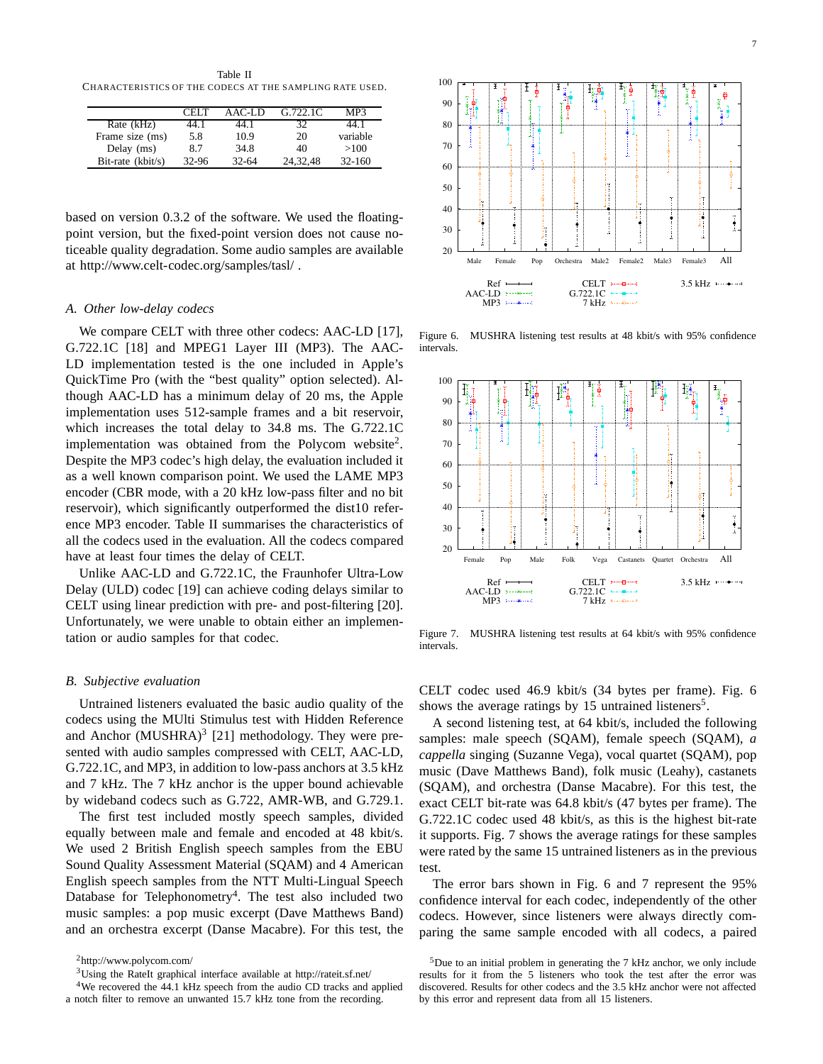Table II CHARACTERISTICS OF THE CODECS AT THE SAMPLING RATE USED.

|                   | CELT  | AAC-LD    | G.722.1C | MP3        |
|-------------------|-------|-----------|----------|------------|
| Rate (kHz)        | 44.1  | 44.1      | 32       | 44.1       |
| Frame size (ms)   | 5.8   | 10.9      | 20       | variable   |
| Delay (ms)        | 87    | 34.8      | 40       | >100       |
| Bit-rate (kbit/s) | 32-96 | $32 - 64$ | 24.32.48 | $32 - 160$ |

based on version 0.3.2 of the software. We used the floatingpoint version, but the fixed-point version does not cause noticeable quality degradation. Some audio samples are available at http://www.celt-codec.org/samples/tasl/ .

# *A. Other low-delay codecs*

We compare CELT with three other codecs: AAC-LD [17], G.722.1C [18] and MPEG1 Layer III (MP3). The AAC-LD implementation tested is the one included in Apple's QuickTime Pro (with the "best quality" option selected). Although AAC-LD has a minimum delay of 20 ms, the Apple implementation uses 512-sample frames and a bit reservoir, which increases the total delay to 34.8 ms. The G.722.1C implementation was obtained from the Polycom website<sup>2</sup>. Despite the MP3 codec's high delay, the evaluation included it as a well known comparison point. We used the LAME MP3 encoder (CBR mode, with a 20 kHz low-pass filter and no bit reservoir), which significantly outperformed the dist10 reference MP3 encoder. Table II summarises the characteristics of all the codecs used in the evaluation. All the codecs compared have at least four times the delay of CELT.

Unlike AAC-LD and G.722.1C, the Fraunhofer Ultra-Low Delay (ULD) codec [19] can achieve coding delays similar to CELT using linear prediction with pre- and post-filtering [20]. Unfortunately, we were unable to obtain either an implementation or audio samples for that codec.

# *B. Subjective evaluation*

Untrained listeners evaluated the basic audio quality of the codecs using the MUlti Stimulus test with Hidden Reference and Anchor  $(MUSHRA)^3$  [21] methodology. They were presented with audio samples compressed with CELT, AAC-LD, G.722.1C, and MP3, in addition to low-pass anchors at 3.5 kHz and 7 kHz. The 7 kHz anchor is the upper bound achievable by wideband codecs such as G.722, AMR-WB, and G.729.1.

The first test included mostly speech samples, divided equally between male and female and encoded at 48 kbit/s. We used 2 British English speech samples from the EBU Sound Quality Assessment Material (SQAM) and 4 American English speech samples from the NTT Multi-Lingual Speech Database for Telephonometry<sup>4</sup>. The test also included two music samples: a pop music excerpt (Dave Matthews Band) and an orchestra excerpt (Danse Macabre). For this test, the



Figure 6. MUSHRA listening test results at 48 kbit/s with 95% confidence intervals.



Figure 7. MUSHRA listening test results at 64 kbit/s with 95% confidence intervals.

CELT codec used 46.9 kbit/s (34 bytes per frame). Fig. 6 shows the average ratings by 15 untrained listeners<sup>5</sup>.

A second listening test, at 64 kbit/s, included the following samples: male speech (SQAM), female speech (SQAM), *a cappella* singing (Suzanne Vega), vocal quartet (SQAM), pop music (Dave Matthews Band), folk music (Leahy), castanets (SQAM), and orchestra (Danse Macabre). For this test, the exact CELT bit-rate was 64.8 kbit/s (47 bytes per frame). The G.722.1C codec used 48 kbit/s, as this is the highest bit-rate it supports. Fig. 7 shows the average ratings for these samples were rated by the same 15 untrained listeners as in the previous test.

The error bars shown in Fig. 6 and 7 represent the 95% confidence interval for each codec, independently of the other codecs. However, since listeners were always directly comparing the same sample encoded with all codecs, a paired

<sup>2</sup>http://www.polycom.com/

<sup>3</sup>Using the RateIt graphical interface available at http://rateit.sf.net/

<sup>&</sup>lt;sup>4</sup>We recovered the 44.1 kHz speech from the audio CD tracks and applied a notch filter to remove an unwanted 15.7 kHz tone from the recording.

<sup>5</sup>Due to an initial problem in generating the 7 kHz anchor, we only include results for it from the 5 listeners who took the test after the error was discovered. Results for other codecs and the 3.5 kHz anchor were not affected by this error and represent data from all 15 listeners.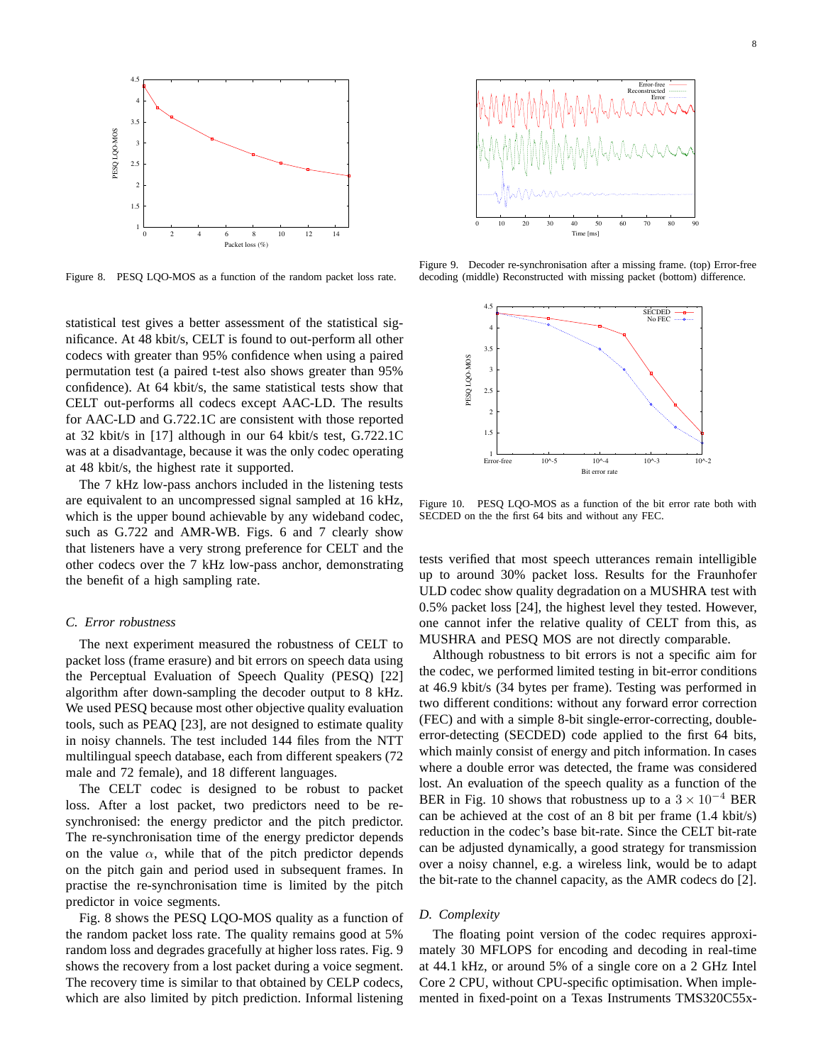

Figure 8. PESQ LQO-MOS as a function of the random packet loss rate.

statistical test gives a better assessment of the statistical significance. At 48 kbit/s, CELT is found to out-perform all other codecs with greater than 95% confidence when using a paired permutation test (a paired t-test also shows greater than 95% confidence). At 64 kbit/s, the same statistical tests show that CELT out-performs all codecs except AAC-LD. The results for AAC-LD and G.722.1C are consistent with those reported at 32 kbit/s in [17] although in our 64 kbit/s test, G.722.1C was at a disadvantage, because it was the only codec operating at 48 kbit/s, the highest rate it supported.

The 7 kHz low-pass anchors included in the listening tests are equivalent to an uncompressed signal sampled at 16 kHz, which is the upper bound achievable by any wideband codec, such as G.722 and AMR-WB. Figs. 6 and 7 clearly show that listeners have a very strong preference for CELT and the other codecs over the 7 kHz low-pass anchor, demonstrating the benefit of a high sampling rate.

# *C. Error robustness*

The next experiment measured the robustness of CELT to packet loss (frame erasure) and bit errors on speech data using the Perceptual Evaluation of Speech Quality (PESQ) [22] algorithm after down-sampling the decoder output to 8 kHz. We used PESQ because most other objective quality evaluation tools, such as PEAQ [23], are not designed to estimate quality in noisy channels. The test included 144 files from the NTT multilingual speech database, each from different speakers (72 male and 72 female), and 18 different languages.

The CELT codec is designed to be robust to packet loss. After a lost packet, two predictors need to be resynchronised: the energy predictor and the pitch predictor. The re-synchronisation time of the energy predictor depends on the value  $\alpha$ , while that of the pitch predictor depends on the pitch gain and period used in subsequent frames. In practise the re-synchronisation time is limited by the pitch predictor in voice segments.

Fig. 8 shows the PESQ LQO-MOS quality as a function of the random packet loss rate. The quality remains good at 5% random loss and degrades gracefully at higher loss rates. Fig. 9 shows the recovery from a lost packet during a voice segment. The recovery time is similar to that obtained by CELP codecs, which are also limited by pitch prediction. Informal listening



Figure 9. Decoder re-synchronisation after a missing frame. (top) Error-free decoding (middle) Reconstructed with missing packet (bottom) difference.



Figure 10. PESQ LQO-MOS as a function of the bit error rate both with SECDED on the the first 64 bits and without any FEC.

tests verified that most speech utterances remain intelligible up to around 30% packet loss. Results for the Fraunhofer ULD codec show quality degradation on a MUSHRA test with 0.5% packet loss [24], the highest level they tested. However, one cannot infer the relative quality of CELT from this, as MUSHRA and PESQ MOS are not directly comparable.

Although robustness to bit errors is not a specific aim for the codec, we performed limited testing in bit-error conditions at 46.9 kbit/s (34 bytes per frame). Testing was performed in two different conditions: without any forward error correction (FEC) and with a simple 8-bit single-error-correcting, doubleerror-detecting (SECDED) code applied to the first 64 bits, which mainly consist of energy and pitch information. In cases where a double error was detected, the frame was considered lost. An evaluation of the speech quality as a function of the BER in Fig. 10 shows that robustness up to a  $3 \times 10^{-4}$  BER can be achieved at the cost of an 8 bit per frame (1.4 kbit/s) reduction in the codec's base bit-rate. Since the CELT bit-rate can be adjusted dynamically, a good strategy for transmission over a noisy channel, e.g. a wireless link, would be to adapt the bit-rate to the channel capacity, as the AMR codecs do [2].

# *D. Complexity*

The floating point version of the codec requires approximately 30 MFLOPS for encoding and decoding in real-time at 44.1 kHz, or around 5% of a single core on a 2 GHz Intel Core 2 CPU, without CPU-specific optimisation. When implemented in fixed-point on a Texas Instruments TMS320C55x-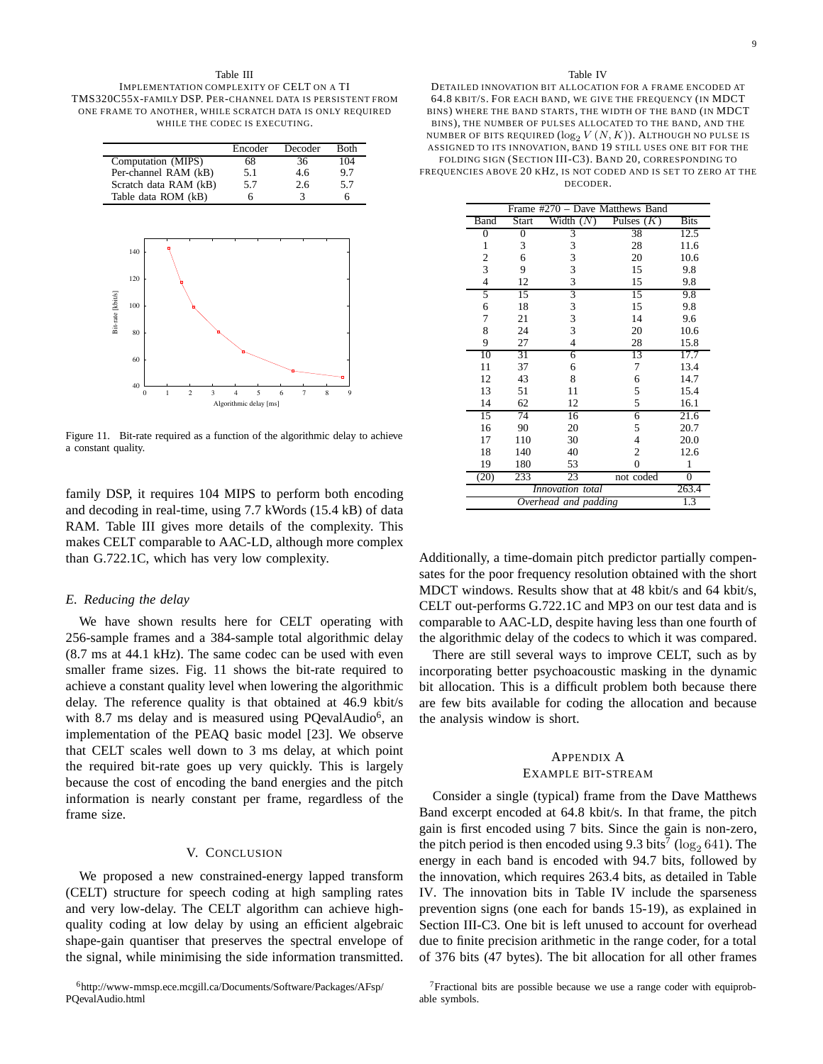#### Table III IMPLEMENTATION COMPLEXITY OF CELT ON A TI TMS320C55X-FAMILY DSP. PER-CHANNEL DATA IS PERSISTENT FROM ONE FRAME TO ANOTHER, WHILE SCRATCH DATA IS ONLY REQUIRED



Figure 11. Bit-rate required as a function of the algorithmic delay to achieve a constant quality.

family DSP, it requires 104 MIPS to perform both encoding and decoding in real-time, using 7.7 kWords (15.4 kB) of data RAM. Table III gives more details of the complexity. This makes CELT comparable to AAC-LD, although more complex than G.722.1C, which has very low complexity.

# *E. Reducing the delay*

We have shown results here for CELT operating with 256-sample frames and a 384-sample total algorithmic delay (8.7 ms at 44.1 kHz). The same codec can be used with even smaller frame sizes. Fig. 11 shows the bit-rate required to achieve a constant quality level when lowering the algorithmic delay. The reference quality is that obtained at 46.9 kbit/s with 8.7 ms delay and is measured using PQevalAudio<sup>6</sup>, an implementation of the PEAQ basic model [23]. We observe that CELT scales well down to 3 ms delay, at which point the required bit-rate goes up very quickly. This is largely because the cost of encoding the band energies and the pitch information is nearly constant per frame, regardless of the frame size.

#### V. CONCLUSION

We proposed a new constrained-energy lapped transform (CELT) structure for speech coding at high sampling rates and very low-delay. The CELT algorithm can achieve highquality coding at low delay by using an efficient algebraic shape-gain quantiser that preserves the spectral envelope of the signal, while minimising the side information transmitted.

## Table IV

DETAILED INNOVATION BIT ALLOCATION FOR A FRAME ENCODED AT 64.8 KBIT/S. FOR EACH BAND, WE GIVE THE FREQUENCY (IN MDCT BINS) WHERE THE BAND STARTS, THE WIDTH OF THE BAND (IN MDCT BINS), THE NUMBER OF PULSES ALLOCATED TO THE BAND, AND THE NUMBER OF BITS REQUIRED  $(\log_2 V(N,K))$ . ALTHOUGH NO PULSE IS ASSIGNED TO ITS INNOVATION, BAND 19 STILL USES ONE BIT FOR THE FOLDING SIGN (SECTION III-C3). BAND 20, CORRESPONDING TO FREQUENCIES ABOVE 20 KHZ, IS NOT CODED AND IS SET TO ZERO AT THE DECODER.

| Frame #270 - Dave Matthews Band |       |                |              |                  |  |  |
|---------------------------------|-------|----------------|--------------|------------------|--|--|
| Band                            | Start | Width $(N)$    | Pulses $(K)$ | <b>Bits</b>      |  |  |
| 0                               | 0     | 3              | 38           | 12.5             |  |  |
| 1                               | 3     | 3              | 28           | 11.6             |  |  |
| 2                               | 6     | 3              | 20           | 10.6             |  |  |
| 3                               | 9     | 3              | 15           | 9.8              |  |  |
| $\overline{4}$                  | 12    | 3              | 15           | 9.8              |  |  |
| 5                               | 15    | 3              | 15           | 9.8              |  |  |
| 6                               | 18    | 3              | 15           | 9.8              |  |  |
| 7                               | 21    | 3              | 14           | 9.6              |  |  |
| 8                               | 24    | 3              | 20           | 10.6             |  |  |
| 9                               | 27    | $\overline{4}$ | 28           | 15.8             |  |  |
| 10                              | 31    | 6              | 13           | 17.7             |  |  |
| 11                              | 37    | 6              | 7            | 13.4             |  |  |
| 12                              | 43    | 8              | 6            | 14.7             |  |  |
| 13                              | 51    | 11             | 5            | 15.4             |  |  |
| 14                              | 62    | 12             | 5            | 16.1             |  |  |
| 15                              | 74    | 16             | 6            | 21.6             |  |  |
| 16                              | 90    | 20             | 5            | 20.7             |  |  |
| 17                              | 110   | 30             | 4            | 20.0             |  |  |
| 18                              | 140   | 40             | 2            | 12.6             |  |  |
| 19                              | 180   | 53             | 0            | 1                |  |  |
| (20)                            | 233   | 23             | not coded    | $\boldsymbol{0}$ |  |  |
| Innovation total                |       |                | 263.4        |                  |  |  |
| Overhead and padding            |       |                | 1.3          |                  |  |  |

Additionally, a time-domain pitch predictor partially compensates for the poor frequency resolution obtained with the short MDCT windows. Results show that at 48 kbit/s and 64 kbit/s, CELT out-performs G.722.1C and MP3 on our test data and is comparable to AAC-LD, despite having less than one fourth of the algorithmic delay of the codecs to which it was compared.

There are still several ways to improve CELT, such as by incorporating better psychoacoustic masking in the dynamic bit allocation. This is a difficult problem both because there are few bits available for coding the allocation and because the analysis window is short.

# APPENDIX A EXAMPLE BIT-STREAM

Consider a single (typical) frame from the Dave Matthews Band excerpt encoded at 64.8 kbit/s. In that frame, the pitch gain is first encoded using 7 bits. Since the gain is non-zero, the pitch period is then encoded using 9.3 bits<sup>7</sup> ( $\log_2 641$ ). The energy in each band is encoded with 94.7 bits, followed by the innovation, which requires 263.4 bits, as detailed in Table IV. The innovation bits in Table IV include the sparseness prevention signs (one each for bands 15-19), as explained in Section III-C3. One bit is left unused to account for overhead due to finite precision arithmetic in the range coder, for a total of 376 bits (47 bytes). The bit allocation for all other frames

<sup>6</sup>http://www-mmsp.ece.mcgill.ca/Documents/Software/Packages/AFsp/ PQevalAudio.html

<sup>&</sup>lt;sup>7</sup>Fractional bits are possible because we use a range coder with equiprobable symbols.